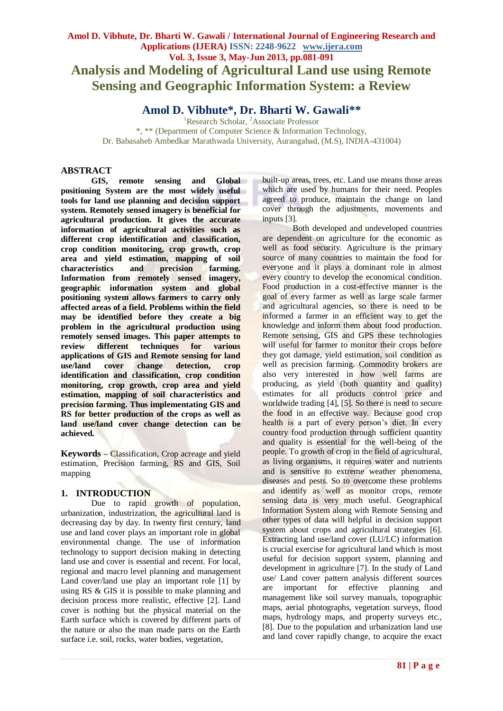# **Amol D. Vibhute, Dr. Bharti W. Gawali / International Journal of Engineering Research and Applications (IJERA) ISSN: 2248-9622 www.ijera.com Vol. 3, Issue 3, May-Jun 2013, pp.081-091 Analysis and Modeling of Agricultural Land use using Remote Sensing and Geographic Information System: a Review**

# **Amol D. Vibhute\*, Dr. Bharti W. Gawali\*\***

<sup>1</sup>Research Scholar, <sup>2</sup>Associate Professor \*, \*\* (Department of Computer Science & Information Technology, Dr. Babasaheb Ambedkar Marathwada University, Aurangabad, (M.S), INDIA-431004)

# **ABSTRACT**

**GIS, remote sensing and Global positioning System are the most widely useful tools for land use planning and decision support system. Remotely sensed imagery is beneficial for agricultural production. It gives the accurate information of agricultural activities such as different crop identification and classification, crop condition monitoring, crop growth, crop area and yield estimation, mapping of soil characteristics and precision farming. Information from remotely sensed imagery, geographic information system and global positioning system allows farmers to carry only affected areas of a field. Problems within the field may be identified before they create a big problem in the agricultural production using remotely sensed images. This paper attempts to review different techniques for various applications of GIS and Remote sensing for land use/land cover change detection, crop identification and classification, crop condition monitoring, crop growth, crop area and yield estimation, mapping of soil characteristics and precision farming. Thus implementating GIS and RS for better production of the crops as well as land use/land cover change detection can be achieved.**

**Keywords –** Classification, Crop acreage and yield estimation, Precision farming, RS and GIS, Soil mapping

# **1. INTRODUCTION**

Due to rapid growth of population, urbanization, industrization, the agricultural land is decreasing day by day. In twenty first century, land use and land cover plays an important role in global environmental change. The use of information technology to support decision making in detecting land use and cover is essential and recent. For local, regional and macro level planning and management Land cover/land use play an important role [1] by using RS & GIS it is possible to make planning and decision process more realistic, effective [2]. Land cover is nothing but the physical material on the Earth surface which is covered by different parts of the nature or also the man made parts on the Earth surface i.e. soil, rocks, water bodies, vegetation,

built-up areas, trees, etc. Land use means those areas which are used by humans for their need. Peoples agreed to produce, maintain the change on land cover through the adjustments, movements and inputs [3].

Both developed and undeveloped countries are dependent on agriculture for the economic as well as food security. Agriculture is the primary source of many countries to maintain the food for everyone and it plays a dominant role in almost every country to develop the economical condition. Food production in a cost-effective manner is the goal of every farmer as well as large scale farmer and agricultural agencies, so there is need to be informed a farmer in an efficient way to get the knowledge and inform them about food production. Remote sensing, GIS and GPS these technologies will useful for farmer to monitor their crops before they got damage, yield estimation, soil condition as well as precision farming. Commodity brokers are also very interested in how well farms are producing, as yield (both quantity and quality) estimates for all products control price and worldwide trading [4], [5]. So there is need to secure the food in an effective way. Because good crop health is a part of every person's diet. In every country food production through sufficient quantity and quality is essential for the well-being of the people. To growth of crop in the field of agricultural, as living organisms, it requires water and nutrients and is sensitive to extreme weather phenomena, diseases and pests. So to overcome these problems and identify as well as monitor crops, remote sensing data is very much useful. Geographical Information System along with Remote Sensing and other types of data will helpful in decision support system about crops and agricultural strategies [6]. Extracting land use/land cover (LU/LC) information is crucial exercise for agricultural land which is most useful for decision support system, planning and development in agriculture [7]. In the study of Land use/ Land cover pattern analysis different sources are important for effective planning and management like soil survey manuals, topographic maps, aerial photographs, vegetation surveys, flood maps, hydrology maps, and property surveys etc., [8]. Due to the population and urbanization land use and land cover rapidly change, to acquire the exact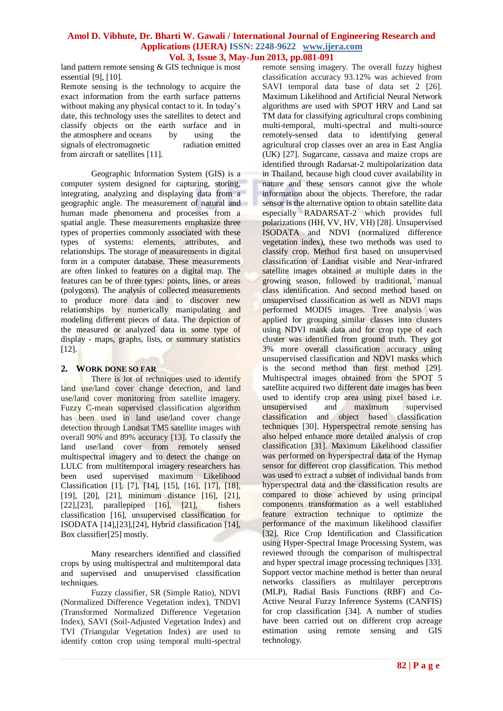land pattern remote sensing  $&$  GIS technique is most essential [9], [10].

Remote sensing is the technology to acquire the exact information from the earth surface patterns without making any physical contact to it. In today's date, this technology uses the satellites to detect and classify objects on the earth surface and in the atmosphere and oceans by using the signals of electromagnetic radiation emitted from aircraft or satellites [11].

Geographic Information System (GIS) is a computer system designed for capturing, storing, integrating, analyzing and displaying data from a geographic angle. The measurement of natural and human made phenomena and processes from a spatial angle. These measurements emphasize three types of properties commonly associated with these types of [systems:](http://www.physicalgeography.net/physgeoglos/s.html#system) [elements,](http://www.physicalgeography.net/physgeoglos/s.html#system_element) [attributes,](http://www.physicalgeography.net/physgeoglos/s.html#system_attribute) and relationships. The storage of measurements in digital form in a computer database. These measurements are often linked to features on a digital map. The features can be of three types: points, lines, or areas (polygons). The analysis of collected measurements to produce more data and to discover new relationships by numerically manipulating and modeling different pieces of data. The depiction of the measured or analyzed data in some type of display - maps, graphs, lists, or summary statistics [12].

# **2. WORK DONE SO FAR**

There is lot of techniques used to identify land use/land cover change detection, and land use/land cover monitoring from satellite imagery. Fuzzy C-mean supervised classification algorithm has been used in land use/land cover change detection through Landsat TM5 satellite images with overall 90% and 89% accuracy [13]. To classify the land use/land cover from remotely sensed multispectral imagery and to detect the change on LULC from multitemporal imagery researchers has been used supervised maximum Likelihood Classification [1], [7], [14], [15], [16], [17], [18], [19], [20], [21], minimum distance [16], [21], [22], [23], parallepiped [16], [21], fishers classification [16], unsupervised classification for ISODATA [14],[23],[24], Hybrid classification [14], Box classifier[25] mostly.

Many researchers identified and classified crops by using multispectral and multitemporal data and supervised and unsupervised classification techniques.

Fuzzy classifier, SR (Simple Ratio), NDVI (Normalized Difference Vegetation index), TNDVI (Transformed Normalized Difference Vegetation Index), SAVI (Soil-Adjusted Vegetation Index) and TVI (Triangular Vegetation Index) are used to identify cotton crop using temporal multi-spectral remote sensing imagery. The overall fuzzy highest classification accuracy 93.12% was achieved from SAVI temporal data base of data set 2 [26]. Maximum Likelihood and Artificial Neural Network algorithms are used with SPOT HRV and Land sat TM data for classifying agricultural crops combining multi-temporal, multi-spectral and multi-source remotely-sensed data to identifying general agricultural crop classes over an area in East Anglia (UK) [27]. Sugarcane, cassava and maize crops are identified through Radarsat-2 multipolarization data in Thailand, because high cloud cover availability in nature and these sensors cannot give the whole information about the objects. Therefore, the radar sensor is the alternative option to obtain satellite data especially RADARSAT-2 which provides full polarizations (HH, VV, HV, VH) [28]. Unsupervised ISODATA and NDVI (normalized difference vegetation index), these two methods was used to classify crop. Method first based on unsupervised classification of Landsat visible and Near-infrared satellite images obtained at multiple dates in the growing season, followed by traditional, manual class identification. And second method based on unsupervised classification as well as NDVI maps performed MODIS images. Tree analysis was applied for grouping similar classes into clusters using NDVI mask data and for crop type of each cluster was identified from ground truth. They got 3% more overall classification accuracy using unsupervised classification and NDVI masks which is the second method than first method [29]. Multispectral images obtained from the SPOT 5 satellite acquired two different date images has been used to identify crop area using pixel based i.e. unsupervised and maximum supervised classification and object based classification techniques [30]. Hyperspectral remote sensing has also helped enhance more detailed analysis of crop classification [31]. Maximum Likelihood classifier was performed on hyperspectral data of the Hymap sensor for different crop classification. This method was used to extract a subset of individual bands from hyperspectral data and the classification results are compared to those achieved by using principal components transformation as a well established feature extraction technique to optimize the performance of the maximum likelihood classifier [32]. Rice Crop Identification and Classification using Hyper-Spectral Image Processing System, was reviewed through the comparison of multispectral and hyper spectral image processing techniques [33]. Support vector machine method is better than neural networks classifiers as multilayer perceptrons (MLP), Radial Basis Functions (RBF) and Co-Active Neural Fuzzy Inference Systems (CANFIS) for crop classification [34]. A number of studies have been carried out on different crop acreage estimation using remote sensing and GIS technology.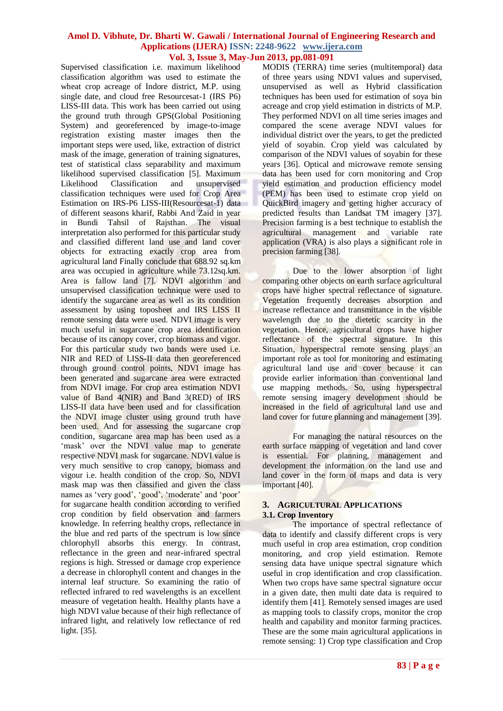Supervised classification i.e. maximum likelihood classification algorithm was used to estimate the wheat crop acreage of Indore district, M.P. using single date, and cloud free Resourcesat-1 (IRS P6) LISS-III data. This work has been carried out using the ground truth through GPS(Global Positioning System) and georeferenced by image-to-image registration existing master images then the important steps were used, like, extraction of district mask of the image, generation of training signatures, test of statistical class separability and maximum likelihood supervised classification [5]. Maximum Likelihood Classification and unsupervised classification techniques were used for Crop Area Estimation on IRS-P6 LISS-III(Resourcesat-1) data of different seasons kharif, Rabbi And Zaid in year in Bundi Tahsil of Rajsthan. The visual interpretation also performed for this particular study and classified different land use and land cover objects for extracting exactly crop area from agricultural land Finally conclude that 688.92 sq.km area was occupied in agriculture while 73.12sq.km. Area is fallow land [7]. NDVI algorithm and unsupervised classification technique were used to identify the sugarcane area as well as its condition assessment by using toposheet and IRS LISS II remote sensing data were used. NDVI image is very much useful in sugarcane crop area identification because of its canopy cover, crop biomass and vigor. For this particular study two bands were used i.e. NIR and RED of LISS-II data then georeferenced through ground control points, NDVI image has been generated and sugarcane area were extracted from NDVI image. For crop area estimation NDVI value of Band 4(NIR) and Band 3(RED) of IRS LISS-II data have been used and for classification the NDVI image cluster using ground truth have been used. And for assessing the sugarcane crop condition, sugarcane area map has been used as a 'mask' over the NDVI value map to generate respective NDVI mask for sugarcane. NDVI value is very much sensitive to crop canopy, biomass and vigour i.e. health condition of the crop. So, NDVI mask map was then classified and given the class names as 'very good', 'good', 'moderate' and 'poor' for sugarcane health condition according to verified crop condition by field observation and farmers knowledge. In referring healthy crops, reflectance in the blue and red parts of the spectrum is low since chlorophyll absorbs this energy. In contrast, reflectance in the green and near-infrared spectral regions is high. Stressed or damage crop experience a decrease in chlorophyll content and changes in the internal leaf structure. So examining the ratio of reflected infrared to red wavelengths is an excellent measure of vegetation health. Healthy plants have a high NDVI value because of their high reflectance of infrared light, and relatively low reflectance of red light. [35].

MODIS (TERRA) time series (multitemporal) data of three years using NDVI values and supervised, unsupervised as well as Hybrid classification techniques has been used for estimation of soya bin acreage and crop yield estimation in districts of M.P. They performed NDVI on all time series images and compared the scene average NDVI values for individual district over the years, to get the predicted yield of soyabin. Crop yield was calculated by comparison of the NDVI values of soyabin for these years [36]. Optical and microwave remote sensing data has been used for corn monitoring and Crop yield estimation and production efficiency model (PEM) has been used to estimate crop yield on QuickBird imagery and getting higher accuracy of predicted results than Landsat TM imagery [37]. Precision farming is a best technique to establish the agricultural management and variable rate application (VRA) is also plays a significant role in precision farming [38].

Due to the lower absorption of light comparing other objects on earth surface agricultural crops have higher spectral reflectance of signature. Vegetation frequently decreases absorption and increase reflectance and transmittance in the visible wavelength due to the dietetic scarcity in the vegetation. Hence, agricultural crops have higher reflectance of the spectral signature. In this Situation, hyperspectral remote sensing plays an important role as tool for monitoring and estimating agricultural land use and cover because it can provide earlier information than conventional land use mapping methods. So, using hyperspectral remote sensing imagery development should be increased in the field of agricultural land use and land cover for future planning and management [39].

For managing the natural resources on the earth surface mapping of vegetation and land cover is essential. For planning, management and development the information on the land use and land cover in the form of maps and data is very important [40].

### **3. AGRICULTURAL APPLICATIONS 3.1. Crop Inventory**

The importance of spectral reflectance of data to identify and classify different crops is very much useful in crop area estimation, crop condition monitoring, and crop yield estimation. Remote sensing data have unique spectral signature which useful in crop identification and crop classification. When two crops have same spectral signature occur in a given date, then multi date data is required to identify them [41]. Remotely sensed images are used as mapping tools to classify crops, monitor the crop health and capability and monitor farming practices. These are the some main agricultural applications in remote sensing: 1) Crop type classification and Crop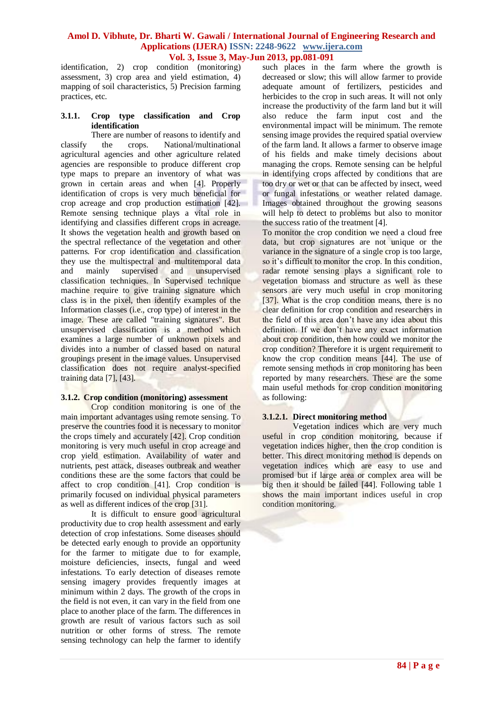identification, 2) crop condition (monitoring) assessment, 3) crop area and yield estimation, 4) mapping of soil characteristics, 5) Precision farming practices, etc.

### **3.1.1. Crop type classification and Crop identification**

There are number of reasons to identify and classify the crops. National/multinational agricultural agencies and other agriculture related agencies are responsible to produce different crop type maps to prepare an inventory of what was grown in certain areas and when [4]. Properly identification of crops is very much beneficial for crop acreage and crop production estimation [42]. Remote sensing technique plays a vital role in identifying and classifies different crops in acreage. It shows the vegetation health and growth based on the spectral reflectance of the vegetation and other patterns. For crop identification and classification they use the multispectral and multitemporal data and mainly supervised and unsupervised classification techniques. In Supervised technique machine require to give training signature which class is in the pixel, then identify examples of the Information classes (i.e., crop type) of interest in the image. These are called "training signatures". But unsupervised classification is a method which examines a large number of unknown pixels and divides into a number of classed based on natural groupings present in the image values. Unsupervised classification does not require analyst-specified training data [7], [43].

# **3.1.2. Crop condition (monitoring) assessment**

Crop condition monitoring is one of the main important advantages using remote sensing. To preserve the countries food it is necessary to monitor the crops timely and accurately [42]. Crop condition monitoring is very much useful in crop acreage and crop yield estimation. Availability of water and nutrients, pest attack, diseases outbreak and weather conditions these are the some factors that could be affect to crop condition [41]. Crop condition is primarily focused on individual physical parameters as well as different indices of the crop [31].

It is difficult to ensure good agricultural productivity due to crop health assessment and early detection of crop infestations. Some diseases should be detected early enough to provide an opportunity for the farmer to mitigate due to for example, moisture deficiencies, insects, fungal and weed infestations. To early detection of diseases remote sensing imagery provides frequently images at minimum within 2 days. The growth of the crops in the field is not even, it can vary in the field from one place to another place of the farm. The differences in growth are result of various factors such as soil nutrition or other forms of stress. The remote sensing technology can help the farmer to identify

such places in the farm where the growth is decreased or slow; this will allow farmer to provide adequate amount of fertilizers, pesticides and herbicides to the crop in such areas. It will not only increase the productivity of the farm land but it will also reduce the farm input cost and the environmental impact will be minimum. The remote sensing image provides the required spatial overview of the farm land. It allows a farmer to observe image of his fields and make timely decisions about managing the crops. Remote sensing can be helpful in identifying crops affected by conditions that are too dry or wet or that can be affected by insect, weed or fungal infestations or weather related damage. Images obtained throughout the growing seasons will help to detect to problems but also to monitor the success ratio of the treatment [4].

To monitor the crop condition we need a cloud free data, but crop signatures are not unique or the variance in the signature of a single crop is too large, so it's difficult to monitor the crop. In this condition, radar remote sensing plays a significant role to vegetation biomass and structure as well as these sensors are very much useful in crop monitoring [37]. What is the crop condition means, there is no clear definition for crop condition and researchers in the field of this area don't have any idea about this definition. If we don't have any exact information about crop condition, then how could we monitor the crop condition? Therefore it is urgent requirement to know the crop condition means [44]. The use of remote sensing methods in crop monitoring has been reported by many researchers. These are the some main useful methods for crop condition monitoring as following:

### **3.1.2.1. Direct monitoring method**

Vegetation indices which are very much useful in crop condition monitoring, because if vegetation indices higher, then the crop condition is better. This direct monitoring method is depends on vegetation indices which are easy to use and promised but if large area or complex area will be big then it should be failed [44]. Following table 1 shows the main important indices useful in crop condition monitoring.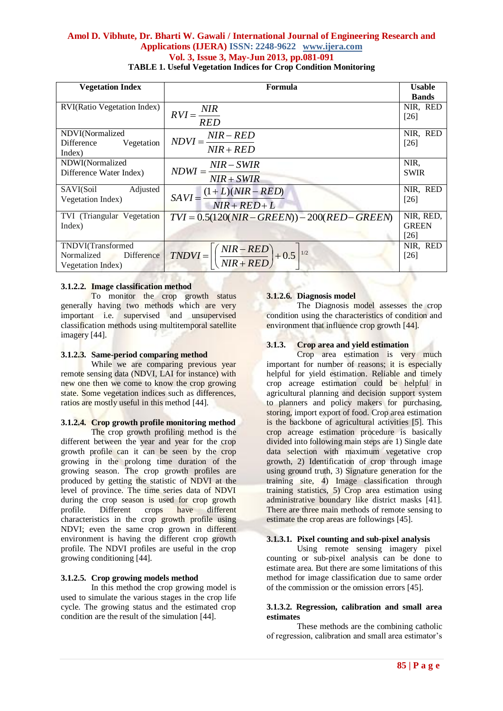| <b>Vegetation Index</b>             | Formula                                                                                                                      | <b>Usable</b> |
|-------------------------------------|------------------------------------------------------------------------------------------------------------------------------|---------------|
|                                     |                                                                                                                              | <b>Bands</b>  |
| <b>RVI</b> (Ratio Vegetation Index) |                                                                                                                              | NIR, RED      |
|                                     | $RVI = \frac{NIR}{RED}$                                                                                                      | $[26]$        |
| NDVI(Normalized                     |                                                                                                                              | NIR, RED      |
| Difference Vegetation               | $NDVI = \frac{NIR - RED}{NIR + RED}$                                                                                         | $[26]$        |
| Index)                              |                                                                                                                              |               |
| NDWI(Normalized                     |                                                                                                                              | NIR,          |
| Difference Water Index)             | $NDWI = \frac{NIR - SWIR}{NIR + SWIR}$                                                                                       | <b>SWIR</b>   |
|                                     |                                                                                                                              |               |
| SAVI(Soil<br>Adjusted               |                                                                                                                              | NIR, RED      |
| Vegetation Index)                   | $SAVI = \frac{(1+L)(NIR - RED)}{NIR + RED + L}$                                                                              | $[26]$        |
| TVI (Triangular Vegetation          | $TVI = 0.5(120(NIR - GREEN)) - 200(RED - GREEN)$                                                                             | NIR, RED,     |
| Index)                              |                                                                                                                              | <b>GREEN</b>  |
|                                     |                                                                                                                              | [26]          |
|                                     |                                                                                                                              | NIR, RED      |
|                                     | TNDVI(Transformed<br>Normalized Difference $\hat{N} = \left[ \left( \frac{NIR - RED}{NIR + RED} \right) + 0.5 \right]^{1/2}$ | $[26]$        |
| Vegetation Index)                   |                                                                                                                              |               |

## **3.1.2.2. Image classification method**

To monitor the crop growth status generally having two methods which are very important i.e. supervised and unsupervised classification methods using multitemporal satellite imagery [44].

# **3.1.2.3. Same-period comparing method**

While we are comparing previous year remote sensing data (NDVI, LAI for instance) with new one then we come to know the crop growing state. Some vegetation indices such as differences, ratios are mostly useful in this method [44].

# **3.1.2.4. Crop growth profile monitoring method**

The crop growth profiling method is the different between the year and year for the crop growth profile can it can be seen by the crop growing in the prolong time duration of the growing season. The crop growth profiles are produced by getting the statistic of NDVI at the level of province. The time series data of NDVI during the crop season is used for crop growth profile. Different crops have different characteristics in the crop growth profile using NDVI; even the same crop grown in different environment is having the different crop growth profile. The NDVI profiles are useful in the crop growing conditioning [44].

### **3.1.2.5. Crop growing models method**

In this method the crop growing model is used to simulate the various stages in the crop life cycle. The growing status and the estimated crop condition are the result of the simulation [44].

# **3.1.2.6. Diagnosis model**

The Diagnosis model assesses the crop condition using the characteristics of condition and environment that influence crop growth [44].

### **3.1.3. Crop area and yield estimation**

Crop area estimation is very much important for number of reasons; it is especially helpful for yield estimation. Reliable and timely crop acreage estimation could be helpful in agricultural planning and decision support system to planners and policy makers for purchasing, storing, import export of food. Crop area estimation is the backbone of agricultural activities [5]. This crop acreage estimation procedure is basically divided into following main steps are 1) Single date data selection with maximum vegetative crop growth, 2) Identification of crop through image using ground truth, 3) Signature generation for the training site, 4) Image classification through training statistics, 5) Crop area estimation using administrative boundary like district masks [41]. There are three main methods of remote sensing to estimate the crop areas are followings [45].

### **3.1.3.1. Pixel counting and sub-pixel analysis**

Using remote sensing imagery pixel counting or sub-pixel analysis can be done to estimate area. But there are some limitations of this method for image classification due to same order of the commission or the omission errors [45].

#### **3.1.3.2. Regression, calibration and small area estimates**

These methods are the combining catholic of regression, calibration and small area estimator's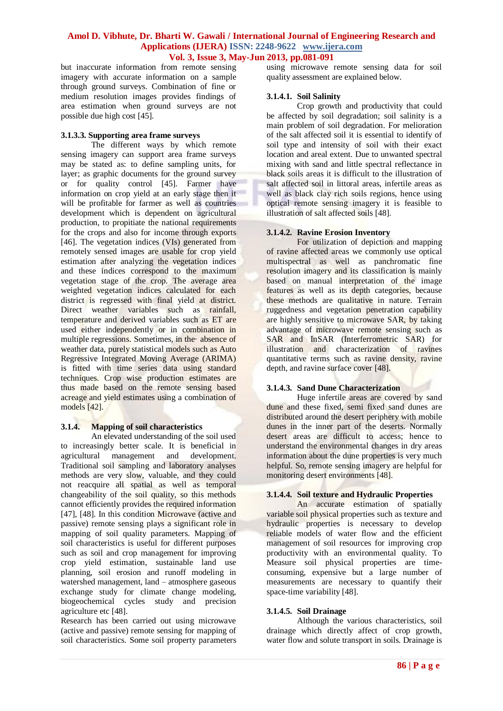but inaccurate information from remote sensing imagery with accurate information on a sample through ground surveys. Combination of fine or medium resolution images provides findings of area estimation when ground surveys are not possible due high cost [45].

### **3.1.3.3. Supporting area frame surveys**

The different ways by which remote sensing imagery can support area frame surveys may be stated as: to define sampling units, for layer; as graphic documents for the ground survey or for quality control [45]. Farmer have information on crop yield at an early stage then it will be profitable for farmer as well as countries development which is dependent on agricultural production, to propitiate the national requirements for the crops and also for income through exports [46]. The vegetation indices (VIs) generated from remotely sensed images are usable for crop yield estimation after analyzing the vegetation indices and these indices correspond to the maximum vegetation stage of the crop. The average area weighted vegetation indices calculated for each district is regressed with final yield at district. Direct weather variables such as rainfall, temperature and derived variables such as ET are used either independently or in combination in multiple regressions. Sometimes, in the· absence of weather data, purely statistical models such as Auto Regressive Integrated Moving Average (ARIMA) is fitted with time series data using standard techniques. Crop wise production estimates are thus made based on the remote sensing based acreage and yield estimates using a combination of models [42].

# **3.1.4. Mapping of soil characteristics**

An elevated understanding of the soil used to increasingly better scale. It is beneficial in agricultural management and development. Traditional soil sampling and laboratory analyses methods are very slow, valuable, and they could not reacquire all spatial as well as temporal changeability of the soil quality, so this methods cannot efficiently provides the required information [47], [48]. In this condition Microwave (active and passive) remote sensing plays a significant role in mapping of soil quality parameters. Mapping of soil characteristics is useful for different purposes such as soil and crop management for improving crop yield estimation, sustainable land use planning, soil erosion and runoff modeling in watershed management, land – atmosphere gaseous exchange study for climate change modeling, biogeochemical cycles study and precision agriculture etc [48].

Research has been carried out using microwave (active and passive) remote sensing for mapping of soil characteristics. Some soil property parameters using microwave remote sensing data for soil quality assessment are explained below.

### **3.1.4.1. Soil Salinity**

Crop growth and productivity that could be affected by soil degradation; soil salinity is a main problem of soil degradation. For melioration of the salt affected soil it is essential to identify of soil type and intensity of soil with their exact location and areal extent. Due to unwanted spectral mixing with sand and little spectral reflectance in black soils areas it is difficult to the illustration of salt affected soil in littoral areas, infertile areas as well as black clay rich soils regions, hence using optical remote sensing imagery it is feasible to illustration of salt affected soils [48].

## **3.1.4.2. Ravine Erosion Inventory**

For utilization of depiction and mapping of ravine affected areas we commonly use optical multispectral as well as panchromatic fine resolution imagery and its classification is mainly based on manual interpretation of the image features as well as its depth categories, because these methods are qualitative in nature. Terrain ruggedness and vegetation penetration capability are highly sensitive to microwave SAR, by taking advantage of microwave remote sensing such as SAR and InSAR (Interferrometric SAR) for illustration and characterization of ravines quantitative terms such as ravine density, ravine depth, and ravine surface cover [48].

# **3.1.4.3. Sand Dune Characterization**

Huge infertile areas are covered by sand dune and these fixed, semi fixed sand dunes are distributed around the desert periphery with mobile dunes in the inner part of the deserts. Normally desert areas are difficult to access; hence to understand the environmental changes in dry areas information about the dune properties is very much helpful. So, remote sensing imagery are helpful for monitoring desert environments [48].

# **3.1.4.4. Soil texture and Hydraulic Properties**

An accurate estimation of spatially variable soil physical properties such as texture and hydraulic properties is necessary to develop reliable models of water flow and the efficient management of soil resources for improving crop productivity with an environmental quality. To Measure soil physical properties are timeconsuming, expensive but a large number of measurements are necessary to quantify their space-time variability [48].

### **3.1.4.5. Soil Drainage**

Although the various characteristics, soil drainage which directly affect of crop growth, water flow and solute transport in soils. Drainage is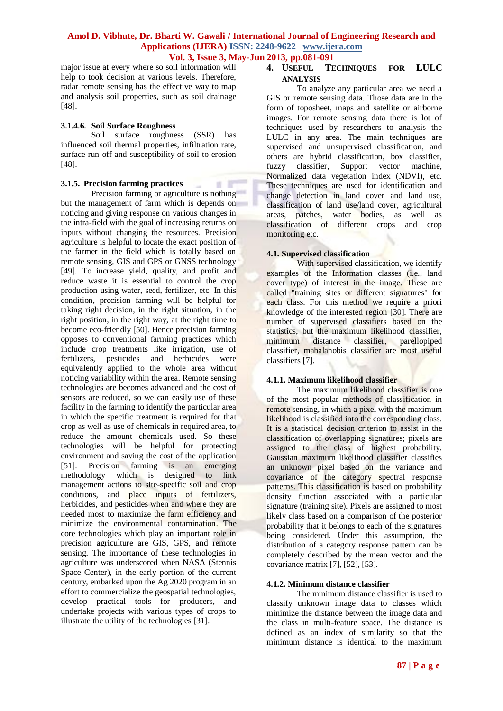$\mathbb{R}$  .  $\mathbb{R}^m$ 

major issue at every where so soil information will help to took decision at various levels. Therefore, radar remote sensing has the effective way to map and analysis soil properties, such as soil drainage [48].

#### **3.1.4.6. Soil Surface Roughness**

Soil surface roughness (SSR) has influenced soil thermal properties, infiltration rate, surface run-off and susceptibility of soil to erosion [48].

### **3.1.5. Precision farming practices**

Precision farming or agriculture is nothing but the management of farm which is depends on noticing and giving response on various changes in the intra-field with the goal of increasing returns on inputs without changing the resources. Precision agriculture is helpful to locate the exact position of the farmer in the field which is totally based on remote sensing, GIS and GPS or GNSS technology [49]. To increase yield, quality, and profit and reduce waste it is essential to control the crop production using water, seed, fertilizer, etc. In this condition, precision farming will be helpful for taking right decision, in the right situation, in the right position, in the right way, at the right time to become eco-friendly [50]. Hence precision farming opposes to conventional farming practices which include crop treatments like irrigation, use of fertilizers, pesticides and herbicides were equivalently applied to the whole area without noticing variability within the area. Remote sensing technologies are becomes advanced and the cost of sensors are reduced, so we can easily use of these facility in the farming to identify the particular area in which the specific treatment is required for that crop as well as use of chemicals in required area, to reduce the amount chemicals used. So these technologies will be helpful for protecting environment and saving the cost of the application<br>[51]. Precision farming is an emerging Precision farming is an emerging methodology which is designed to link management actions to site-specific soil and crop conditions, and place inputs of fertilizers, herbicides, and pesticides when and where they are needed most to maximize the farm efficiency and minimize the environmental contamination. The core technologies which play an important role in precision agriculture are GIS, GPS, and remote sensing. The importance of these technologies in agriculture was underscored when NASA (Stennis Space Center), in the early portion of the current century, embarked upon the Ag 2020 program in an effort to commercialize the geospatial technologies, develop practical tools for producers, and undertake projects with various types of crops to illustrate the utility of the technologies [31].

# **4. USEFUL TECHNIQUES FOR LULC ANALYSIS**

To analyze any particular area we need a GIS or remote sensing data. Those data are in the form of toposheet, maps and satellite or airborne images. For remote sensing data there is lot of techniques used by researchers to analysis the LULC in any area. The main techniques are supervised and unsupervised classification, and others are hybrid classification, box classifier, fuzzy classifier, Support vector machine, Normalized data vegetation index (NDVI), etc. These techniques are used for identification and change detection in land cover and land use, classification of land use/land cover, agricultural areas, patches, water bodies, as well as classification of different crops and crop monitoring etc.

### **4.1. Supervised classification**

With supervised classification, we identify examples of the Information classes (i.e., land cover type) of interest in the image. These are called "training sites or different signatures" for each class. For this method we require a priori knowledge of the interested region [30]. There are number of supervised classifiers based on the statistics, but the maximum likelihood classifier, minimum distance classifier, parellopiped classifier, mahalanobis classifier are most useful classifiers [7].

# **4.1.1. Maximum likelihood classifier**

The maximum likelihood classifier is one of the most popular methods of classification in remote sensing, in which a pixel with the maximum likelihood is classified into the corresponding class. It is a statistical decision criterion to assist in the classification of overlapping signatures; pixels are assigned to the class of highest probability. Gaussian maximum likelihood classifier classifies an unknown pixel based on the variance and covariance of the category spectral response patterns. This classification is based on probability density function associated with a particular signature (training site). Pixels are assigned to most likely class based on a comparison of the posterior probability that it belongs to each of the signatures being considered. Under this assumption, the distribution of a category response pattern can be completely described by the mean vector and the covariance matrix [7], [52], [53].

# **4.1.2. Minimum distance classifier**

The minimum distance classifier is used to classify unknown image data to classes which minimize the distance between the image data and the class in multi-feature space. The distance is defined as an index of similarity so that the minimum distance is identical to the maximum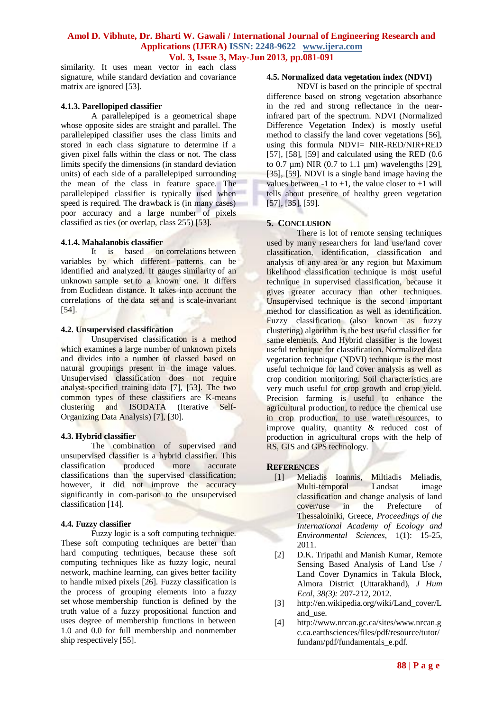similarity. It uses mean vector in each class signature, while standard deviation and covariance matrix are ignored [53].

### **4.1.3. Parellopiped classifier**

A parallelepiped is a geometrical shape whose opposite sides are straight and parallel. The parallelepiped classifier uses the class limits and stored in each class signature to determine if a given pixel falls within the class or not. The class limits specify the dimensions (in standard deviation units) of each side of a parallelepiped surrounding the mean of the class in feature space. The parallelepiped classifier is typically used when speed is required. The drawback is (in many cases) poor accuracy and a large number of pixels classified as ties (or overlap, class 255) [53].

### **4.1.4. Mahalanobis classifier**

It is based on correlations between variables by which different patterns can be identified and analyzed. It gauges similarity of an unknown sample set to a known one. It differs from Euclidean distance. It takes into account the correlations of the data set and is scale-invariant [54].

### **4.2. Unsupervised classification**

Unsupervised classification is a method which examines a large number of unknown pixels and divides into a number of classed based on natural groupings present in the image values. Unsupervised classification does not require analyst-specified training data [7], [53]. The two common types of these classifiers are K-means clustering and ISODATA (Iterative Self-Organizing Data Analysis) [7], [30].

### **4.3. Hybrid classifier**

The combination of supervised and unsupervised classifier is a hybrid classifier. This classification produced more accurate classification produced more accurate classifications than the supervised classification; however, it did not improve the accuracy significantly in com-parison to the unsupervised classification [14].

### **4.4. Fuzzy classifier**

Fuzzy logic is a soft computing technique. These soft computing techniques are better than hard computing techniques, because these soft computing techniques like as fuzzy logic, neural network, machine learning, can gives better facility to handle mixed pixels [26]. Fuzzy classification is the process of grouping elements into a fuzzy set whose membership function is defined by the truth value of a fuzzy propositional function and uses degree of membership functions in between 1.0 and 0.0 for full membership and nonmember ship respectively [55].

## **4.5. Normalized data vegetation index (NDVI)**

NDVI is based on the principle of spectral difference based on strong vegetation absorbance in the red and strong reflectance in the nearinfrared part of the spectrum. NDVI (Normalized Difference Vegetation Index) is mostly useful method to classify the land cover vegetations [56], using this formula NDVI= NIR-RED/NIR+RED [57], [58], [59] and calculated using the RED  $(0.6)$ to  $0.7 \mu m$ ) NIR  $(0.7 \text{ to } 1.1 \mu m)$  wavelengths [29], [35], [59]. NDVI is a single band image having the values between -1 to +1, the value closer to +1 will tells about presence of healthy green vegetation [57], [35], [59].

## **5. CONCLUSION**

There is lot of remote sensing techniques used by many researchers for land use/land cover classification, identification, classification and analysis of any area or any region but Maximum likelihood classification technique is most useful technique in supervised classification, because it gives greater accuracy than other techniques. Unsupervised technique is the second important method for classification as well as identification. Fuzzy classification (also known as fuzzy clustering) algorithm is the best useful classifier for same elements. And Hybrid classifier is the lowest useful technique for classification. Normalized data vegetation technique (NDVI) technique is the most useful technique for land cover analysis as well as crop condition monitoring. Soil characteristics are very much useful for crop growth and crop yield. Precision farming is useful to enhance the agricultural production, to reduce the chemical use in crop production, to use water resources, to improve quality, quantity & reduced cost of production in agricultural crops with the help of RS, GIS and GPS technology.

### **REFERENCES**

- [1] Meliadis Ioannis, Miltiadis Meliadis, Multi-temporal Landsat image classification and change analysis of land cover/use in the Prefecture of Thessaloiniki, Greece, *Proceedings of the International Academy of Ecology and Environmental Sciences*, 1(1): 15-25, 2011.
- [2] D.K. Tripathi and Manish Kumar, Remote Sensing Based Analysis of Land Use / Land Cover Dynamics in Takula Block, Almora District (Uttarakhand), *J Hum Ecol, 38(3):* 207-212, 2012.
- [3] http://en.wikipedia.org/wiki/Land\_cover/L and\_use.
- [4] http://www.nrcan.gc.ca/sites/www.nrcan.g c.ca.earthsciences/files/pdf/resource/tutor/ fundam/pdf/fundamentals\_e.pdf.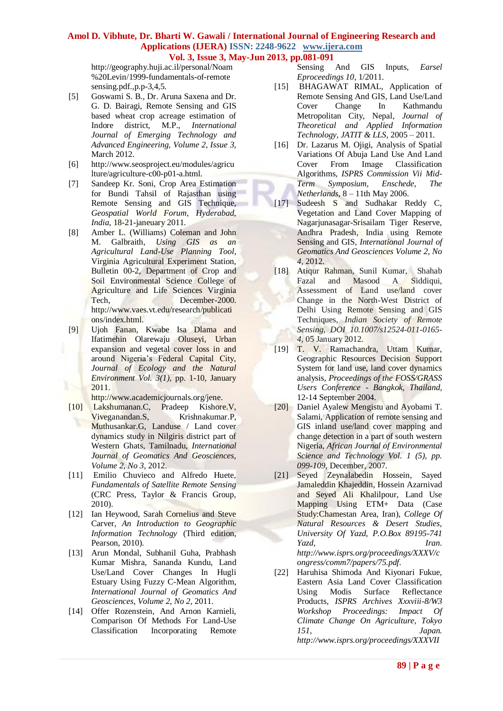http://geography.huji.ac.il/personal/Noam %20Levin/1999-fundamentals-of-remote sensing.pdf.,p.p-3,4,5.

- [5] Goswami S. B., Dr. Aruna Saxena and Dr. G. D. Bairagi, Remote Sensing and GIS based wheat crop acreage estimation of Indore district, M.P., *International Journal of Emerging Technology and Advanced Engineering, Volume 2, Issue 3,* March 2012.
- [6] http://www.seosproject.eu/modules/agricu lture/agriculture-c00-p01-a.html.
- [7] Sandeep Kr. Soni, Crop Area Estimation for Bundi Tahsil of Rajasthan using Remote Sensing and GIS Technique, *Geospatial World Forum, Hyderabad, India,* 18-21-janeuary 2011.
- [8] Amber L. (Williams) Coleman and John M. Galbraith, *Using GIS as an Agricultural Land-Use Planning Tool*, Virginia Agricultural Experiment Station, Bulletin 00-2, Department of Crop and Soil Environmental Science College of Agriculture and Life Sciences Virginia Tech, December-2000. http://www.vaes.vt.edu/research/publicati ons/index.html.
- [9] Ujoh Fanan, Kwabe Isa Dlama and Ifatimehin Olarewaju Oluseyi, Urban expansion and vegetal cover loss in and around Nigeria's Federal Capital City, *Journal of Ecology and the Natural Environment Vol. 3(1),* pp. 1-10, January 2011.

http://www.academicjournals.org/jene.

- [10] Lakshumanan.C, Pradeep Kishore.V, Viveganandan.S, Krishnakumar.P, Muthusankar.G, Landuse / Land cover dynamics study in Nilgiris district part of Western Ghats, Tamilnadu, *International Journal of Geomatics And Geosciences, Volume 2, No 3,* 2012.
- [11] Emilio Chuvieco and Alfredo Huete, *Fundamentals of Satellite Remote Sensing* (CRC Press, Taylor & Francis Group, 2010).
- [12] Ian Heywood, Sarah Cornelius and Steve Carver, *An Introduction to Geographic Information Technology* (Third edition, Pearson, 2010).
- [13] Arun Mondal, Subhanil Guha, Prabhash Kumar Mishra, Sananda Kundu, Land Use/Land Cover Changes In Hugli Estuary Using Fuzzy C-Mean Algorithm, *International Journal of Geomatics And Geosciences, Volume 2, No 2,* 2011.
- [14] Offer Rozenstein, And Arnon Karnieli, Comparison Of Methods For Land-Use Classification Incorporating Remote

Sensing And GIS Inputs, *Earsel Eproceedings 10*, 1/2011.

- [15] BHAGAWAT RIMAL, Application of Remote Sensing And GIS, Land Use/Land Cover Change In Kathmandu Metropolitan City, Nepal, *Journal of Theoretical and Applied Information Technology, JATIT & LLS,* 2005 – 2011.
- [16] Dr. Lazarus M. Ojigi, Analysis of Spatial Variations Of Abuja Land Use And Land Cover From Image Classification Algorithms, *ISPRS Commission Vii Mid-Term Symposium, Enschede, The Netherlands,* 8 – 11th May 2006.
- [17] Sudeesh S and Sudhakar Reddy C, Vegetation and Land Cover Mapping of Nagarjunasagar-Srisailam Tiger Reserve, Andhra Pradesh, India using Remote Sensing and GIS*, International Journal of Geomatics And Geosciences Volume 2, No 4,* 2012.
- [18] Atiqur Rahman, Sunil Kumar, Shahab Fazal and Masood A Siddiqui, Assessment of Land use/land cover Change in the North-West District of Delhi Using Remote Sensing and GIS Techniques, *Indian Society of Remote Sensing, DOI 10.1007/s12524-011-0165- 4,* 05 January 2012.
- [19] T. V. Ramachandra, Uttam Kumar, Geographic Resources Decision Support System for land use, land cover dynamics analysis, *Proceedings of the FOSS/GRASS Users Conference - Bangkok, Thailand,* 12-14 September 2004.
- [20] Daniel Ayalew Mengistu and Ayobami T. Salami, Application of remote sensing and GIS inland use/land cover mapping and change detection in a part of south western Nigeria, *African Journal of Environmental Science and Technology Vol. 1 (5), pp. 099-109,* December, 2007.
- [21] Seyed Zeynalabedin Hossein, Sayed Jamaleddin Khajeddin, Hossein Azarnivad and Seyed Ali Khalilpour, Land Use Mapping Using ETM+ Data (Case Study:Chamestan Area, Iran), *College Of Natural Resources & Desert Studies, University Of Yazd, P.O.Box 89195-741 Yazd, Iran. http://www.isprs.org/proceedings/XXXV/c ongress/comm7/papers/75.pdf.*
- [22] Haruhisa Shimoda And Kiyonari Fukue, Eastern Asia Land Cover Classification Using Modis Surface Reflectance Products, *ISPRS Archives Xxxviii-8/W3 Workshop Proceedings: Impact Of Climate Change On Agriculture, Tokyo 151, Japan. http://www.isprs.org/proceedings/XXXVII*

**89 | P a g e**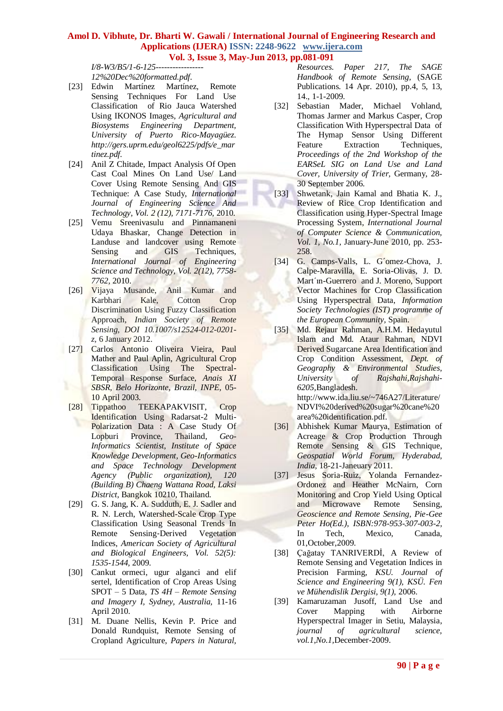*I/8-W3/B5/1-6-125----------------- 12%20Dec%20formatted.pdf.*

- [23] Edwin Martínez Martínez, Remote Sensing Techniques For Land Use Classification of Rio Jauca Watershed Using IKONOS Images, *Agricultural and Biosystems Engineering Department, University of Puerto Rico-Mayagüez. http://gers.uprm.edu/geol6225/pdfs/e\_mar tinez.pdf.*
- [24] Anil Z Chitade, Impact Analysis Of Open Cast Coal Mines On Land Use/ Land Cover Using Remote Sensing And GIS Technique: A Case Study, *International Journal of Engineering Science And Technology, Vol. 2 (12), 7171-7176,* 2010.
- [25] Vemu Sreenivasulu and Pinnamaneni Udaya Bhaskar, Change Detection in Landuse and landcover using Remote Sensing and GIS Techniques, *International Journal of Engineering Science and Technology, Vol. 2(12), 7758- 7762,* 2010.
- [26] Vijaya Musande, Anil Kumar and Karbhari Kale, Cotton Crop Discrimination Using Fuzzy Classification Approach, *Indian Society of Remote Sensing, DOI 10.1007/s12524-012-0201 z,* 6 January 2012.
- [27] Carlos Antonio Oliveira Vieira, Paul Mather and Paul Aplin, Agricultural Crop Classification Using The Spectral-Temporal Response Surface, *Anais XI SBSR, Belo Horizonte, Brazil, INPE,* 05- 10 April 2003.
	- [28] Tippathoo TEEKAPAKVISIT, Crop Identification Using Radarsat-2 Multi-Polarization Data : A Case Study Of Lopburi Province, Thailand, *Geo-Informatics Scientist, Institute of Space Knowledge Development, Geo-Informatics and Space Technology Development Agency (Public organization), 120 (Building B) Chaeng Wattana Road, Laksi District,* Bangkok 10210, Thailand.
	- [29] G. S. Jang, K. A. Sudduth, E. J. Sadler and R. N. Lerch, Watershed-Scale Crop Type Classification Using Seasonal Trends In Remote Sensing‐Derived Vegetation Indices, *American Society of Agricultural and Biological Engineers, Vol. 52(5): 1535-1544,* 2009.
	- [30] Cankut ormeci, ugur alganci and elif sertel, Identification of Crop Areas Using SPOT – 5 Data, *TS 4H – Remote Sensing and Imagery I, Sydney, Australia,* 11-16 April 2010.
	- [31] M. Duane Nellis, Kevin P. Price and Donald Rundquist, Remote Sensing of Cropland Agriculture, *Papers in Natural,*

*Resources. Paper 217, The SAGE Handbook of Remote Sensing,* (SAGE Publications. 14 Apr. 2010), pp.4, 5, 13, 14., 1-1-2009.

- [32] Sebastian Mader, Michael Vohland, Thomas Jarmer and Markus Casper, Crop Classification With Hyperspectral Data of The Hymap Sensor Using Different Feature Extraction Techniques, *Proceedings of the 2nd Workshop of the EARSeL SIG on Land Use and Land Cover, University of Trier,* Germany, 28- 30 September 2006.
- [33] Shwetank, Jain Kamal and Bhatia K. J., Review of Rice Crop Identification and Classification using Hyper-Spectral Image Processing System, *International Journal of Computer Science & Communication, Vol. 1, No.1,* January-June 2010, pp. 253- 258.
- [34] G. Camps-Valls, L. G'omez-Chova, J. Calpe-Maravilla, E. Soria-Olivas, J. D. Mart´ın-Guerrero and J. Moreno, Support Vector Machines for Crop Classification Using Hyperspectral Data, *Information Society Technologies (IST) programme of the European Community,* Spain.
- [35] Md. Rejaur Rahman, A.H.M. Hedayutul Islam and Md. Ataur Rahman, NDVI Derived Sugarcane Area Identification and Crop Condition Assessment, *Dept. of Geography & Environmental Studies, University of Rajshahi,Rajshahi-6205,*Bangladesh. http://www.ida.liu.se/~746A27/Literature/ NDVI%20derived%20sugar%20cane%20 area%20identification.pdf.
- [36] Abhishek Kumar Maurya, Estimation of Acreage & Crop Production Through Remote Sensing & GIS Technique, *Geospatial World Forum, Hyderabad, India,* 18-21-Janeuary 2011.
- [37] Jesus Soria-Ruiz, Yolanda Fernandez-Ordonez and Heather McNairn, Corn Monitoring and Crop Yield Using Optical and Microwave Remote Sensing, *Geoscience and Remote Sensing, Pie-Gee Peter Ho(Ed.), ISBN:978-953-307-003-2,* In Tech, Mexico, Canada, 01,October,2009.
- [38] Çağatay TANRIVERDİ, A Review of Remote Sensing and Vegetation Indices in Precision Farming, *KSU. Journal of Science and Engineering 9(1), KSÜ. Fen ve Mühendislik Dergisi, 9(1),* 2006.
- [39] Kamaruzaman Jusoff, Land Use and Cover Mapping with Airborne Hyperspectral Imager in Setiu, Malaysia, *journal of agricultural science, vol.1,No.1,*December-2009.